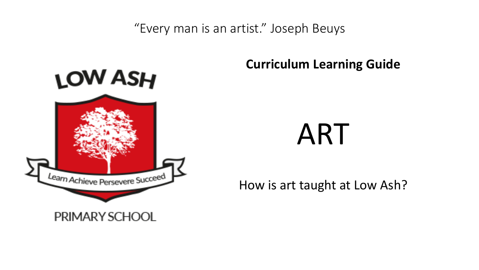"Every man is an artist." Joseph Beuys



## **Curriculum Learning Guide**

# ART

How is art taught at Low Ash?

PRIMARY SCHOOL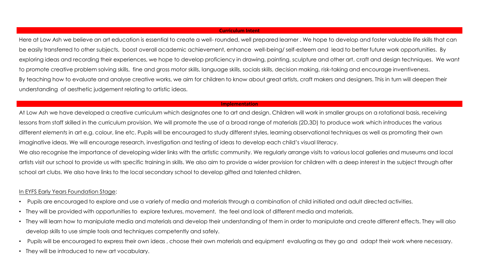#### **Curriculum Intent**

Here at Low Ash we believe an art education is essential to create a well-rounded, well prepared learner. We hope to develop and foster valuable life skills that can be easily transferred to other subjects, boost overall academic achievement, enhance well-being/ self-esteem and lead to better future work opportunities. By exploring ideas and recording their experiences, we hope to develop proficiency in drawing, painting, sculpture and other art, craft and design techniques. We want to promote creative problem solving skills, fine and gross motor skills, language skills, socials skills, decision making, risk-taking and encourage inventiveness. By teaching how to evaluate and analyse creative works, we aim for children to know about great artists, craft makers and designers. This in turn will deepen their understanding of aesthetic judgement relating to artistic ideas.

#### **Implementation**

At Low Ash we have developed a creative curriculum which designates one to art and design. Children will work in smaller groups on a rotational basis, receiving lessons from staff skilled in the curriculum provision. We will promote the use of a broad range of materials (2D,3D) to produce work which introduces the various different *elements* in art e.g. colour, line etc. Pupils will be encouraged to study different styles, learning observational techniques as well as promoting their own imaginative ideas. We will encourage research, investigation and testing of ideas to develop each child's visual literacy.

We also recognise the importance of developing wider links with the artistic community. We regularly arrange visits to various local galleries and museums and local artists visit our school to provide us with specific training in skills. We also aim to provide a wider provision for children with a deep interest in the subject through after school art clubs. We also have links to the local secondary school to develop gifted and talented children.

#### In EYFS Early Years Foundation Stage:

- Pupils are encouraged to explore and use a variety of media and materials through a combination of child initiated and adult directed activities.
- They will be provided with opportunities to explore textures, movement, the feel and look of different media and materials.
- They will learn how to manipulate media and materials and develop their understanding of them in order to manipulate and create different effects. They will also develop skills to use simple tools and techniques competently and safely.
- Pupils will be encouraged to express their own ideas, choose their own materials and equipment evaluating as they go and adapt their work where necessary.
- They will be introduced to new art vocabulary.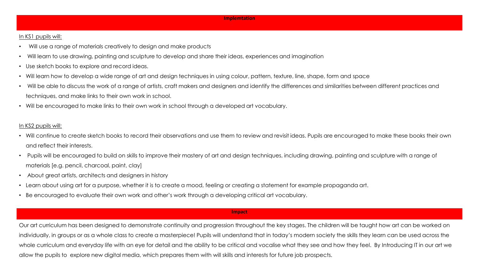#### In KS1 pupils will:

- Will use a range of materials creatively to design and make products
- Will learn to use drawing, painting and sculpture to develop and share their ideas, experiences and imagination
- Use sketch books to explore and record ideas.
- Will learn how to develop a wide range of art and design techniques in using colour, pattern, texture, line, shape, form and space
- Will be able to discuss the work of a range of artists, craft makers and designers and identify the differences and similarities between different practices and techniques, and make links to their own work in school.
- Will be encouraged to make links to their own work in school through a developed art vocabulary.

#### In KS2 pupils will:

- Will continue to create sketch books to record their observations and use them to review and revisit ideas. Pupils are encouraged to make these books their own and reflect their interests.
- Pupils will be encouraged to build on skills to improve their mastery of art and design techniques, including drawing, painting and sculpture with a range of materials [e.g. pencil, charcoal, paint, clay]
- About great artists, architects and designers in history
- Learn about using art for a purpose, whether it is to create a mood, feeling or creating a statement for example propaganda art.
- Be encouraged to evaluate their own work and other's work through a developing critical art vocabulary.

#### **Impact**

Our art curriculum has been designed to demonstrate continuity and progression throughout the key stages. The children will be taught how art can be worked on individually, in groups or as a whole class to create a masterpiece! Pupils will understand that in today's modern society the skills they learn can be used across the whole curriculum and everyday life with an eye for detail and the ability to be critical and vocalise what they see and how they feel. By Introducing IT in our art we allow the pupils to explore new digital media, which prepares them with will skills and interests for future job prospects.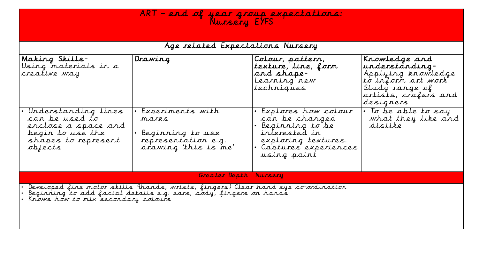## $AR\top$  – end of year group expectations: Nursery EYFS

| Age related Expectations Nursery                                                                                                                                                              |                                                                                              |                                                                                                                                         |                                                                                                                                    |
|-----------------------------------------------------------------------------------------------------------------------------------------------------------------------------------------------|----------------------------------------------------------------------------------------------|-----------------------------------------------------------------------------------------------------------------------------------------|------------------------------------------------------------------------------------------------------------------------------------|
| Making Skills-<br>Using materials in a<br>creative way                                                                                                                                        | Drawing                                                                                      | Colour, pattern,<br>texture, line, form<br>and shape-<br>Learning new<br>techniques                                                     | Krowledge and<br>understanding-<br>Applying knowledge<br>to inform art work<br>Study range of<br>artists, crafers and<br>designers |
| Understanding lines<br>can be used to<br>enclose a space and<br>begin to use the<br>shapes to represent<br>objects                                                                            | Experiments with<br>marks<br>Beginning to use<br>representation e.g.<br>drawing 'this is me' | Explores how colour<br>can be changed<br>Beginning to be<br>interested in<br>exploring textures.<br>Captures experiences<br>using paint | • To be able to say<br>what they like and<br>dislike                                                                               |
|                                                                                                                                                                                               | Greater Depth Nursery                                                                        |                                                                                                                                         |                                                                                                                                    |
| Developed fine motor skills 9 hands, wrists, fingers) Clear hand eye co-ordination<br>Beginning to add facial details e.g. ears, body, fingers on hands<br>Króws how to mix secondary colours |                                                                                              |                                                                                                                                         |                                                                                                                                    |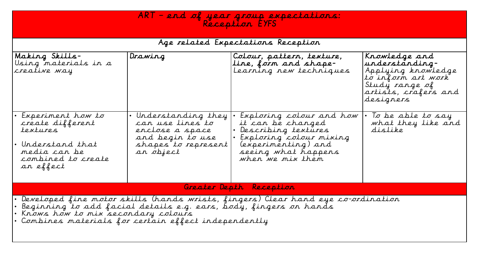| ART - end of year group expectations:<br>Reception EYFS                                                                                                                                                                                            |                                                                                                                     |                                                                                                                                                                   |                                                                                                                                    |
|----------------------------------------------------------------------------------------------------------------------------------------------------------------------------------------------------------------------------------------------------|---------------------------------------------------------------------------------------------------------------------|-------------------------------------------------------------------------------------------------------------------------------------------------------------------|------------------------------------------------------------------------------------------------------------------------------------|
|                                                                                                                                                                                                                                                    |                                                                                                                     | Age related Expectations Reception                                                                                                                                |                                                                                                                                    |
| Making Skills-<br>Using materials in a<br>creative way                                                                                                                                                                                             | Drawing                                                                                                             | Colour, pattern, texture,<br>Line, form and shape-<br>Learning new techniques                                                                                     | Krowledge and<br>understanding-<br>Applying knowledge<br>to inform art work<br>Study range of<br>artists, crafers and<br>designers |
| $Experiments$ how to<br>create different<br>textures<br>Understand that<br>media can be<br>combined to create<br>an effect                                                                                                                         | • Understanding they<br>can use lines to<br>enclose a space<br>and begin to use<br>shapes to represent<br>an object | Exploring colour and how<br>it can be changed<br>Describing textures<br>Exploring colour mixing<br>(experimenting) and<br>seeing what happens<br>when we mix them | To be able to say<br>what they like and<br>dislike                                                                                 |
| Greater Depth Reception                                                                                                                                                                                                                            |                                                                                                                     |                                                                                                                                                                   |                                                                                                                                    |
| Developed fine motor skills (hands wrists, fingers) Clear hand eye co-ordination<br>Beginning to add facial details e.g. ears, body, fingers on hands<br>Króws how to mix secondary colours<br>Combines materials for certain effect independently |                                                                                                                     |                                                                                                                                                                   |                                                                                                                                    |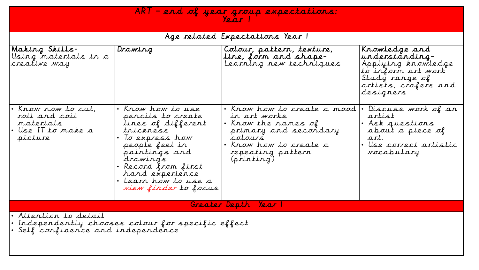| ART - end of year group expectations:<br>$\gamma_{\ell, \alpha, r}$                                                     |                                                                                                                                                                                                                                               |                                                                                                                                                                                              |                                                                                                                                    |
|-------------------------------------------------------------------------------------------------------------------------|-----------------------------------------------------------------------------------------------------------------------------------------------------------------------------------------------------------------------------------------------|----------------------------------------------------------------------------------------------------------------------------------------------------------------------------------------------|------------------------------------------------------------------------------------------------------------------------------------|
|                                                                                                                         |                                                                                                                                                                                                                                               | Age related Expectations Year I                                                                                                                                                              |                                                                                                                                    |
| Making Skills-<br>Using materials in a<br>creative way                                                                  | Drawing                                                                                                                                                                                                                                       | Colour, pattern, texture,<br>Line, form and shape-<br>Learning new techniques                                                                                                                | Krowledge and<br>understanding-<br>Applying knowledge<br>to inform art work<br>Study range of<br>artists, crafers and<br>designers |
| · Krow how to cut,<br>roll and coil<br>materials<br>• Use IT to make a<br>picture                                       | • Krow how to use<br>pencils to create<br>lines of different<br>thickness<br>• To express how<br>people feel in<br>paintings and<br>drawings<br>• Record from first<br>hand experience<br>• Learn how to use a<br><i>Niew finder to focus</i> | Krow how to create a mood $\cdot$ Discuss work of an<br>in art works<br>• Krow the rames of<br>primary and secondary<br>colours<br>· Krow how to create a<br>repeating pattern<br>(printing) | artist<br>· Ask questions<br>about a piece of<br>art.<br>• Use correct artistic<br>vocabulary                                      |
| Greater Depth Year                                                                                                      |                                                                                                                                                                                                                                               |                                                                                                                                                                                              |                                                                                                                                    |
| · Attention to detail<br>$\cdot$ Independently chooses colour for specific effect<br>• Self confidence and independence |                                                                                                                                                                                                                                               |                                                                                                                                                                                              |                                                                                                                                    |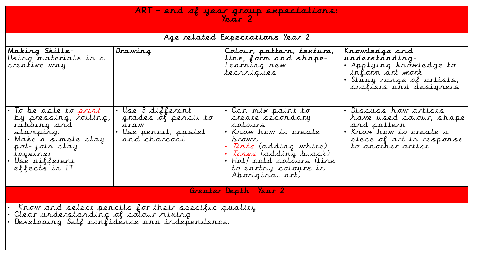## ART – end of year group expectations: Year 2

## Age related Expectations Year 2

| Making Skills-<br>Using materials in a<br>creative way                                                                                                               | Drawing                                                                                  | Colour, pattern, texture,<br>Line, form and shape-<br>Learning new<br>techniques                                                                                                                               | Krowledge and<br>understanding-<br>• Applying knowledge to<br>inform art work<br>Study range of artists,<br>crafters and designers       |
|----------------------------------------------------------------------------------------------------------------------------------------------------------------------|------------------------------------------------------------------------------------------|----------------------------------------------------------------------------------------------------------------------------------------------------------------------------------------------------------------|------------------------------------------------------------------------------------------------------------------------------------------|
| To be able to <i>print</i><br>by pressing, rolling,<br>rubbing and<br>stamping.<br>Make a simple clay<br>pot-join clay<br>together<br>Use different<br>effects in IT | • Use 3 different<br>grades of pencil to<br>draw<br>· Use pencil, pastel<br>and charcoal | $\cdot$ Can mix paint to<br>create secondary<br>cotours<br>• Know how to create<br>prown<br>Tints (adding white)<br>Tones (adding black)<br>Hot/ cold colours (link<br>to earthy colours in<br>Aboriginal art) | • Discuss how artists<br>have used colour, shape<br>and pattern<br>Krow how to create a<br>piece of art in response<br>to another artist |
| Greater Depth Year 2                                                                                                                                                 |                                                                                          |                                                                                                                                                                                                                |                                                                                                                                          |
| Know and select pencils for their specific quality<br>· Clear understanding of colour mixing<br>· Developing Self confidence and independence.                       |                                                                                          |                                                                                                                                                                                                                |                                                                                                                                          |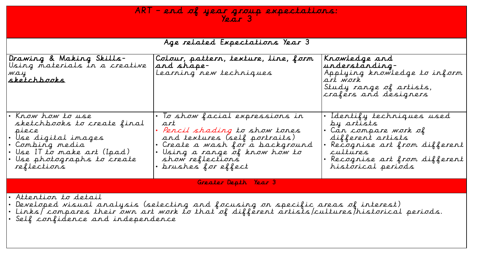## ART – end of year group expectations: Year 3

| Age related Expectations Year 3 |  |
|---------------------------------|--|
|---------------------------------|--|

| <b>Drawing &amp; Making Skills-</b><br>Using materials in a creative<br>way<br><u>sketchbooks</u>                                                                                                                                                         | Colour, pattern, texture, line, form<br>and shape-<br>Learning new techniques                                                                                                                                                                  | Krowledge and<br>understanding-<br>Applying knowledge to inform<br>art work<br>Study range of artists,<br>crafers and designers                                                          |
|-----------------------------------------------------------------------------------------------------------------------------------------------------------------------------------------------------------------------------------------------------------|------------------------------------------------------------------------------------------------------------------------------------------------------------------------------------------------------------------------------------------------|------------------------------------------------------------------------------------------------------------------------------------------------------------------------------------------|
| • Krow how to use<br>sketchbooks to create final<br>piece<br>Use digital images<br>• Combing media<br>• Use II to make art (Ipad)<br>• Use photographs to create<br>reflections                                                                           | $\cdot$ To show facial expressions in<br>art<br>• <i>Pencil shading to show tones</i><br>and textures (self portraits)<br>• Create a wash for a background<br>• Using a range of know how to<br>show reflections<br>$\cdot$ brushes for effect | Identify techniques used<br>by artists<br>• Can compare work of<br>different artists<br>Recognise art from different<br>cultures<br>· Recognise art from different<br>historical periods |
| Greater Depth Year 3                                                                                                                                                                                                                                      |                                                                                                                                                                                                                                                |                                                                                                                                                                                          |
| • Attention to detail<br>• Developed visual analysis (selecting and focusing on specific areas of interest)<br>• Links/ compares their own art work to that of different artists/cultures/historical periods.<br>$\cdot$ Self confidence and independence |                                                                                                                                                                                                                                                |                                                                                                                                                                                          |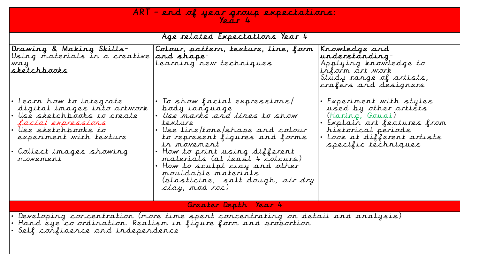| ART - end of year group expectations:<br>Year 4                                                                                                                                                         |                                                                                                                                                                                                                                                                                                                                                                                     |                                                                                                                                                                           |  |
|---------------------------------------------------------------------------------------------------------------------------------------------------------------------------------------------------------|-------------------------------------------------------------------------------------------------------------------------------------------------------------------------------------------------------------------------------------------------------------------------------------------------------------------------------------------------------------------------------------|---------------------------------------------------------------------------------------------------------------------------------------------------------------------------|--|
|                                                                                                                                                                                                         | Age related Expectations Year 4                                                                                                                                                                                                                                                                                                                                                     |                                                                                                                                                                           |  |
| Drawing & Making Skills-<br>Using materials in a creative<br>way<br><u>sketchbooks</u>                                                                                                                  | Colour, pattern, texture, line, form<br>and shape-<br>Learning new techniques                                                                                                                                                                                                                                                                                                       | Krowledge and<br>understanding-<br>Applying knowledge to<br>inform art work<br>Study range of artists,<br>crafers and designers                                           |  |
| • Learn how to integrate<br>digital images into artwork<br>• Use sketchbooks to create<br>facial expressions<br>• Use sketchbooks to<br>experiment with texture<br>• Collect images showing<br>movement | $\cdot$ To show facial expressions/<br>body language<br>· Use marks and lines to show<br>texture<br>$\cdot$ Use line/tone/shape and colour<br>to represent figures and forms<br>in movement<br>. How to print using different<br>materials (at least 4 colours)<br>How to sculpt clay and other<br>mouldable materials<br>(plasticine, salt dough, <i>air dry</i><br>clay, mod roc) | Experiment with styles<br>used by other artists<br>(Haring, Goudi)<br>Explain art features from<br>historical periods<br>Look at different artists<br>specific techniques |  |
| Greater Depth Year 4                                                                                                                                                                                    |                                                                                                                                                                                                                                                                                                                                                                                     |                                                                                                                                                                           |  |
| • Developing concentration (more time spent concentrating on detail and analysis)<br>• Hand eye co-ordination. Realism in figure form and proportion                                                    |                                                                                                                                                                                                                                                                                                                                                                                     |                                                                                                                                                                           |  |

• Self confidence and independence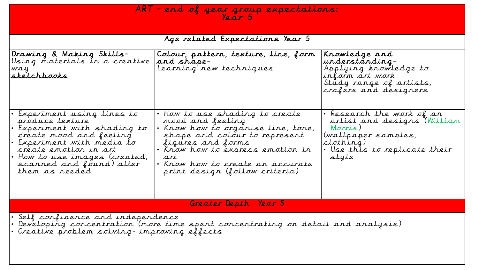## $AR\top$  – end of year group expectations: Year 5

|  | Age related Expectations Year 5 |  |
|--|---------------------------------|--|
|  |                                 |  |

| Drawing & Making Skills-<br>Using materials in a creative<br>way<br> sketchbooks                                                                                                                                                          | Colour, pattern, texture, line, form<br>and shape-<br>Learning new techniques                                                                                                                                                                                       | Krowledge and<br>understanding-<br>Applying knowledge to<br>inform art work<br>Study range of artists,<br>crafers and designers                   |  |
|-------------------------------------------------------------------------------------------------------------------------------------------------------------------------------------------------------------------------------------------|---------------------------------------------------------------------------------------------------------------------------------------------------------------------------------------------------------------------------------------------------------------------|---------------------------------------------------------------------------------------------------------------------------------------------------|--|
| Experiment using lines to<br>produce texture<br>Experiment with shading to<br>create mood and feeling<br>Experiment with media to<br>create emotion in art<br>• How to use images (created,<br>scanned and found) alter<br>them as reeded | $\cdot$ How to use shading to create<br>mood and feeling<br>Know how to organise line, tone,<br>shape and colour to represent<br>figures and forms<br>• Know how to express emotion in<br>art<br>· Know how to create an accurate<br>print design (follow criteria) | . Research the work of an<br>artist and designs (William<br>Morris)<br>(wallpaper samples,<br>clothing)<br>. Use this to replicate their<br>style |  |
|                                                                                                                                                                                                                                           | Greater Depth Year 5                                                                                                                                                                                                                                                |                                                                                                                                                   |  |
| • Self confidence and independence<br>• Developing concentration '(more time spent concentrating on detail and analysis)<br>• Creative problem solving-improving effects                                                                  |                                                                                                                                                                                                                                                                     |                                                                                                                                                   |  |